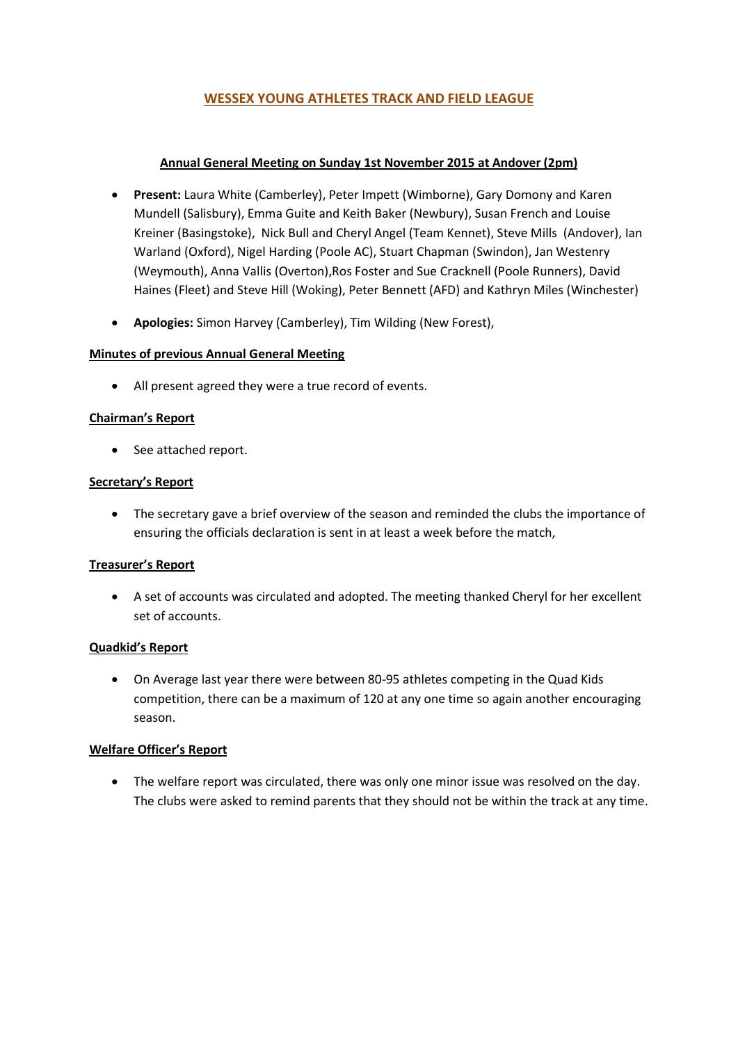# WESSEX YOUNG ATHLETES TRACK AND FIELD LEAGUE

### Annual General Meeting on Sunday 1st November 2015 at Andover (2pm)

- Present: Laura White (Camberley), Peter Impett (Wimborne), Gary Domony and Karen Mundell (Salisbury), Emma Guite and Keith Baker (Newbury), Susan French and Louise Kreiner (Basingstoke), Nick Bull and Cheryl Angel (Team Kennet), Steve Mills (Andover), Ian Warland (Oxford), Nigel Harding (Poole AC), Stuart Chapman (Swindon), Jan Westenry (Weymouth), Anna Vallis (Overton),Ros Foster and Sue Cracknell (Poole Runners), David Haines (Fleet) and Steve Hill (Woking), Peter Bennett (AFD) and Kathryn Miles (Winchester)
- Apologies: Simon Harvey (Camberley), Tim Wilding (New Forest),

#### Minutes of previous Annual General Meeting

All present agreed they were a true record of events.

#### Chairman's Report

• See attached report.

#### Secretary's Report

 The secretary gave a brief overview of the season and reminded the clubs the importance of ensuring the officials declaration is sent in at least a week before the match,

# Treasurer's Report

 A set of accounts was circulated and adopted. The meeting thanked Cheryl for her excellent set of accounts.

# Quadkid's Report

 On Average last year there were between 80-95 athletes competing in the Quad Kids competition, there can be a maximum of 120 at any one time so again another encouraging season.

#### Welfare Officer's Report

 The welfare report was circulated, there was only one minor issue was resolved on the day. The clubs were asked to remind parents that they should not be within the track at any time.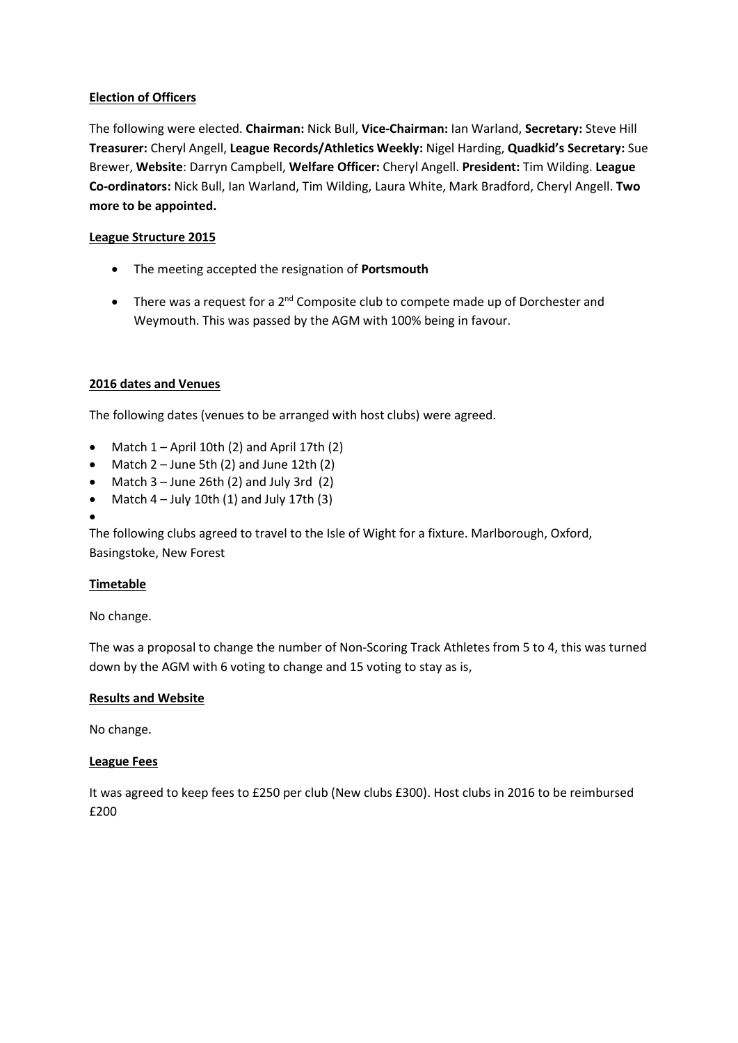### Election of Officers

The following were elected. Chairman: Nick Bull, Vice-Chairman: Ian Warland, Secretary: Steve Hill Treasurer: Cheryl Angell, League Records/Athletics Weekly: Nigel Harding, Quadkid's Secretary: Sue Brewer, Website: Darryn Campbell, Welfare Officer: Cheryl Angell. President: Tim Wilding. League Co-ordinators: Nick Bull, Ian Warland, Tim Wilding, Laura White, Mark Bradford, Cheryl Angell. Two more to be appointed.

### League Structure 2015

- The meeting accepted the resignation of Portsmouth
- $\bullet$  There was a request for a 2<sup>nd</sup> Composite club to compete made up of Dorchester and Weymouth. This was passed by the AGM with 100% being in favour.

#### 2016 dates and Venues

The following dates (venues to be arranged with host clubs) were agreed.

- Match  $1 -$  April 10th (2) and April 17th (2)
- Match  $2 -$  June 5th  $(2)$  and June 12th  $(2)$
- Match  $3 -$  June 26th (2) and July 3rd (2)
- Match  $4$  July 10th (1) and July 17th (3)
- $\bullet$

The following clubs agreed to travel to the Isle of Wight for a fixture. Marlborough, Oxford, Basingstoke, New Forest

# Timetable

No change.

The was a proposal to change the number of Non-Scoring Track Athletes from 5 to 4, this was turned down by the AGM with 6 voting to change and 15 voting to stay as is,

# Results and Website

No change.

#### League Fees

It was agreed to keep fees to £250 per club (New clubs £300). Host clubs in 2016 to be reimbursed £200